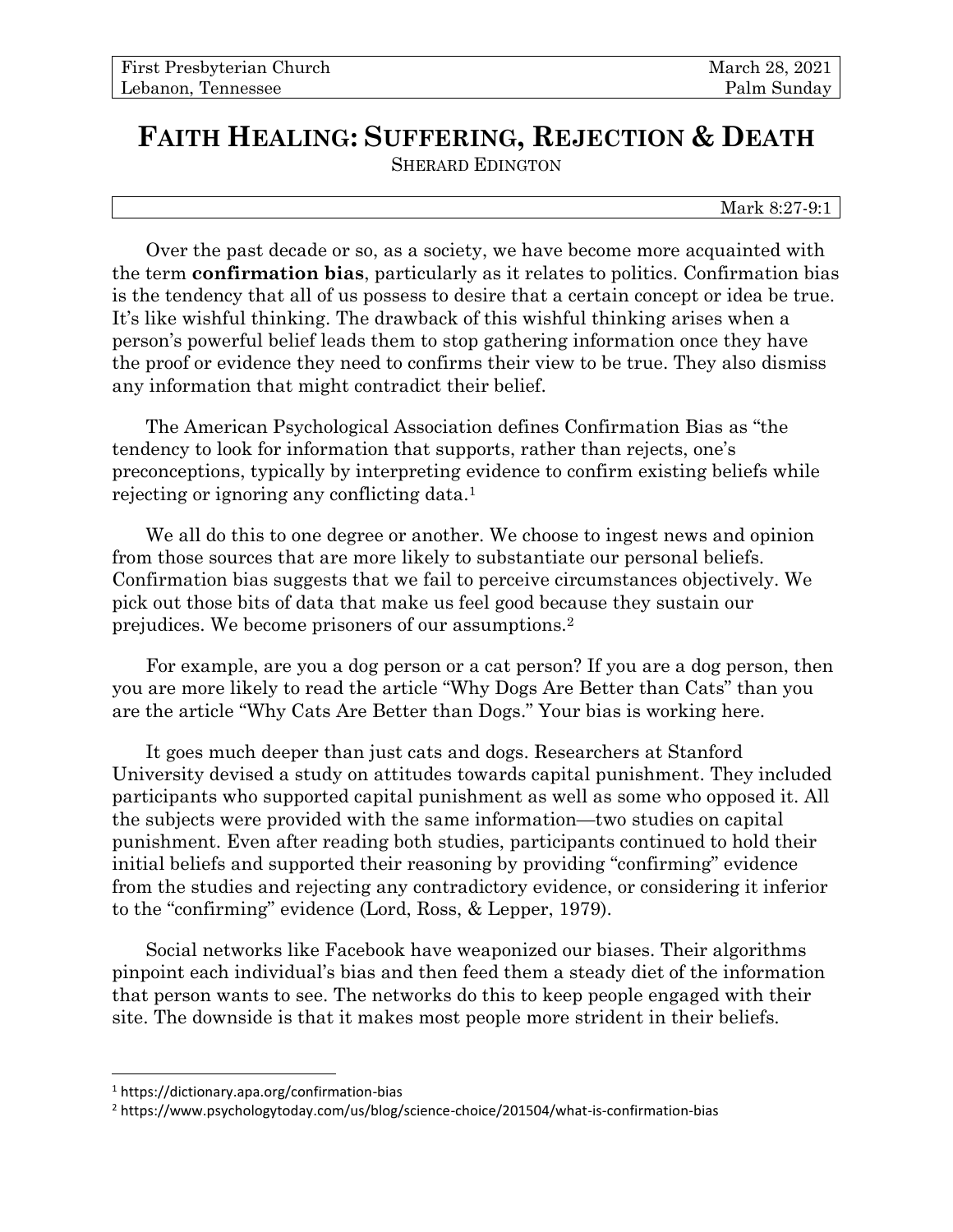## **FAITH HEALING: SUFFERING, REJECTION & DEATH** SHERARD EDINGTON

Mark 8:27-9:1

Over the past decade or so, as a society, we have become more acquainted with the term **confirmation bias**, particularly as it relates to politics. Confirmation bias is the tendency that all of us possess to desire that a certain concept or idea be true. It's like wishful thinking. The drawback of this wishful thinking arises when a person's powerful belief leads them to stop gathering information once they have the proof or evidence they need to confirms their view to be true. They also dismiss any information that might contradict their belief.

The American Psychological Association defines Confirmation Bias as "the tendency to look for information that supports, rather than rejects, one's preconceptions, typically by interpreting evidence to confirm existing beliefs while rejecting or ignoring any conflicting data.<sup>1</sup>

We all do this to one degree or another. We choose to ingest news and opinion from those sources that are more likely to substantiate our personal beliefs. Confirmation bias suggests that we fail to perceive circumstances objectively. We pick out those bits of data that make us feel good because they sustain our prejudices. We become prisoners of our assumptions.<sup>2</sup>

For example, are you a dog person or a cat person? If you are a dog person, then you are more likely to read the article "Why Dogs Are Better than Cats" than you are the article "Why Cats Are Better than Dogs." Your bias is working here.

It goes much deeper than just cats and dogs. Researchers at Stanford University devised a study on attitudes towards capital punishment. They included participants who supported capital punishment as well as some who opposed it. All the subjects were provided with the same information—two studies on capital punishment. Even after reading both studies, participants continued to hold their initial beliefs and supported their reasoning by providing "confirming" evidence from the studies and rejecting any contradictory evidence, or considering it inferior to the "confirming" evidence (Lord, Ross, & Lepper, 1979).

Social networks like Facebook have weaponized our biases. Their algorithms pinpoint each individual's bias and then feed them a steady diet of the information that person wants to see. The networks do this to keep people engaged with their site. The downside is that it makes most people more strident in their beliefs.

<sup>1</sup> https://dictionary.apa.org/confirmation-bias

<sup>2</sup> https://www.psychologytoday.com/us/blog/science-choice/201504/what-is-confirmation-bias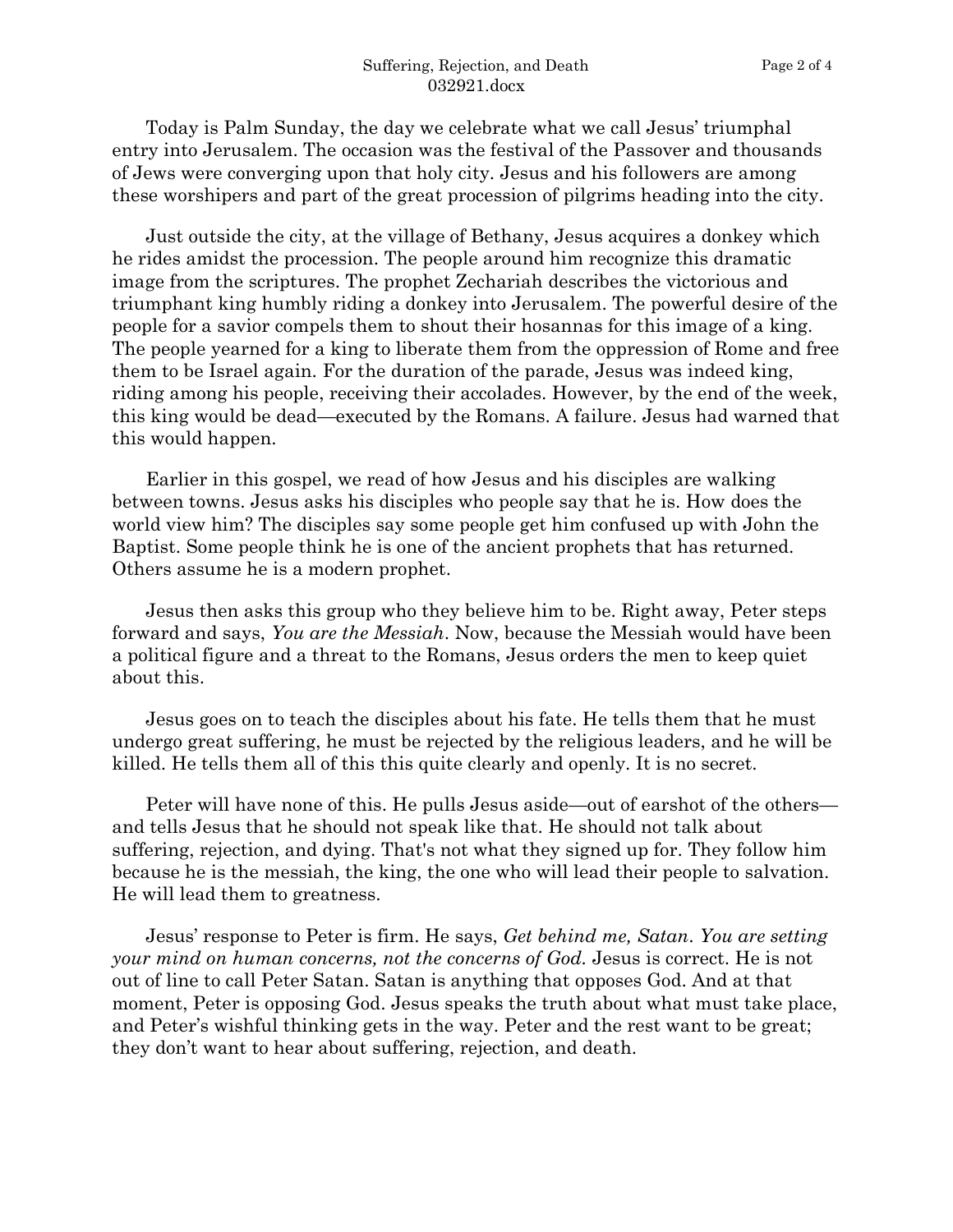Today is Palm Sunday, the day we celebrate what we call Jesus' triumphal entry into Jerusalem. The occasion was the festival of the Passover and thousands of Jews were converging upon that holy city. Jesus and his followers are among these worshipers and part of the great procession of pilgrims heading into the city.

Just outside the city, at the village of Bethany, Jesus acquires a donkey which he rides amidst the procession. The people around him recognize this dramatic image from the scriptures. The prophet Zechariah describes the victorious and triumphant king humbly riding a donkey into Jerusalem. The powerful desire of the people for a savior compels them to shout their hosannas for this image of a king. The people yearned for a king to liberate them from the oppression of Rome and free them to be Israel again. For the duration of the parade, Jesus was indeed king, riding among his people, receiving their accolades. However, by the end of the week, this king would be dead—executed by the Romans. A failure. Jesus had warned that this would happen.

Earlier in this gospel, we read of how Jesus and his disciples are walking between towns. Jesus asks his disciples who people say that he is. How does the world view him? The disciples say some people get him confused up with John the Baptist. Some people think he is one of the ancient prophets that has returned. Others assume he is a modern prophet.

Jesus then asks this group who they believe him to be. Right away, Peter steps forward and says, *You are the Messiah*. Now, because the Messiah would have been a political figure and a threat to the Romans, Jesus orders the men to keep quiet about this.

Jesus goes on to teach the disciples about his fate. He tells them that he must undergo great suffering, he must be rejected by the religious leaders, and he will be killed. He tells them all of this this quite clearly and openly. It is no secret.

Peter will have none of this. He pulls Jesus aside—out of earshot of the others and tells Jesus that he should not speak like that. He should not talk about suffering, rejection, and dying. That's not what they signed up for. They follow him because he is the messiah, the king, the one who will lead their people to salvation. He will lead them to greatness.

Jesus' response to Peter is firm. He says, *Get behind me, Satan*. *You are setting your mind on human concerns, not the concerns of God.* Jesus is correct. He is not out of line to call Peter Satan. Satan is anything that opposes God. And at that moment, Peter is opposing God. Jesus speaks the truth about what must take place, and Peter's wishful thinking gets in the way. Peter and the rest want to be great; they don't want to hear about suffering, rejection, and death.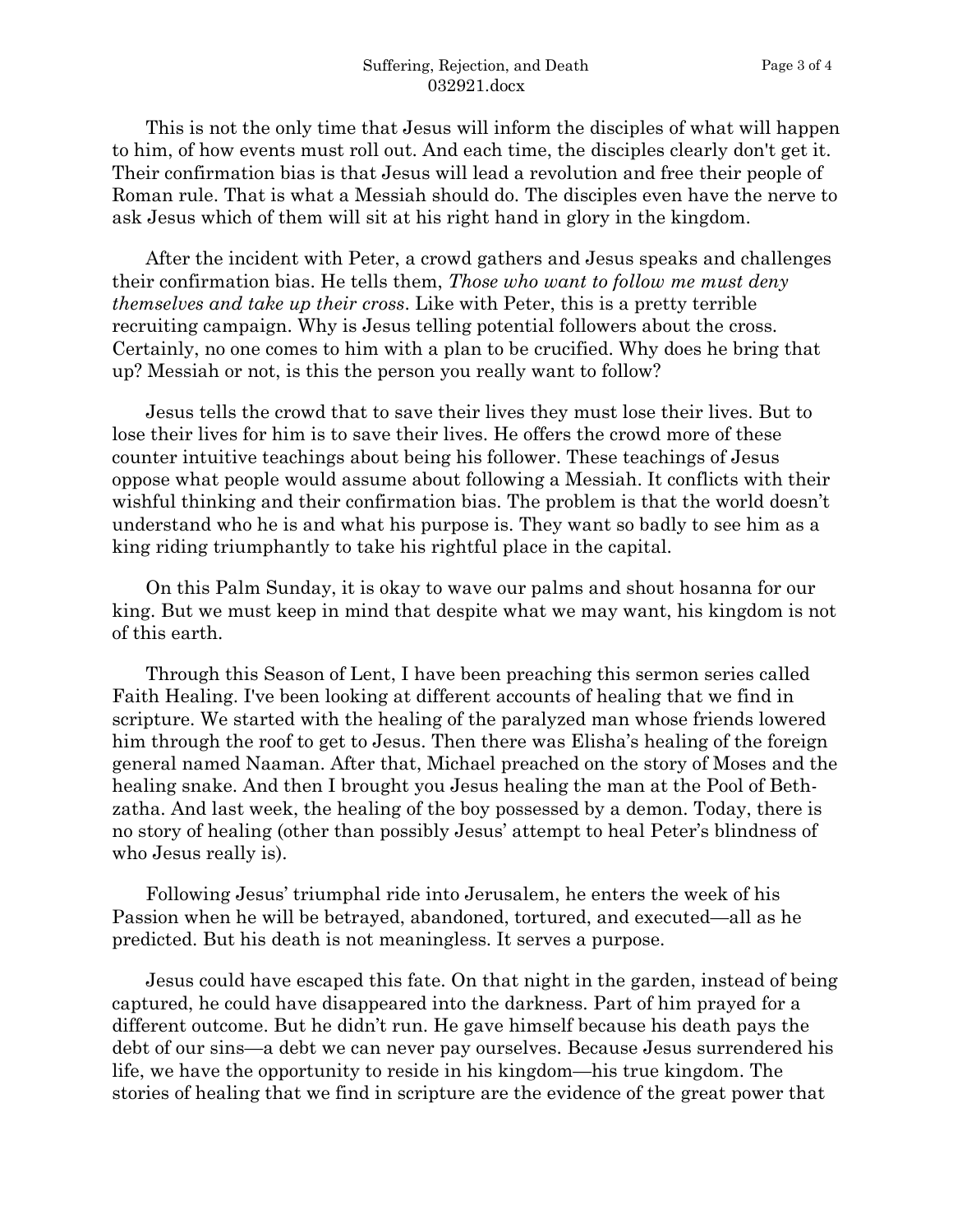This is not the only time that Jesus will inform the disciples of what will happen to him, of how events must roll out. And each time, the disciples clearly don't get it. Their confirmation bias is that Jesus will lead a revolution and free their people of Roman rule. That is what a Messiah should do. The disciples even have the nerve to ask Jesus which of them will sit at his right hand in glory in the kingdom.

After the incident with Peter, a crowd gathers and Jesus speaks and challenges their confirmation bias. He tells them, *Those who want to follow me must deny themselves and take up their cross*. Like with Peter, this is a pretty terrible recruiting campaign. Why is Jesus telling potential followers about the cross. Certainly, no one comes to him with a plan to be crucified. Why does he bring that up? Messiah or not, is this the person you really want to follow?

Jesus tells the crowd that to save their lives they must lose their lives. But to lose their lives for him is to save their lives. He offers the crowd more of these counter intuitive teachings about being his follower. These teachings of Jesus oppose what people would assume about following a Messiah. It conflicts with their wishful thinking and their confirmation bias. The problem is that the world doesn't understand who he is and what his purpose is. They want so badly to see him as a king riding triumphantly to take his rightful place in the capital.

On this Palm Sunday, it is okay to wave our palms and shout hosanna for our king. But we must keep in mind that despite what we may want, his kingdom is not of this earth.

Through this Season of Lent, I have been preaching this sermon series called Faith Healing. I've been looking at different accounts of healing that we find in scripture. We started with the healing of the paralyzed man whose friends lowered him through the roof to get to Jesus. Then there was Elisha's healing of the foreign general named Naaman. After that, Michael preached on the story of Moses and the healing snake. And then I brought you Jesus healing the man at the Pool of Bethzatha. And last week, the healing of the boy possessed by a demon. Today, there is no story of healing (other than possibly Jesus' attempt to heal Peter's blindness of who Jesus really is).

Following Jesus' triumphal ride into Jerusalem, he enters the week of his Passion when he will be betrayed, abandoned, tortured, and executed—all as he predicted. But his death is not meaningless. It serves a purpose.

Jesus could have escaped this fate. On that night in the garden, instead of being captured, he could have disappeared into the darkness. Part of him prayed for a different outcome. But he didn't run. He gave himself because his death pays the debt of our sins—a debt we can never pay ourselves. Because Jesus surrendered his life, we have the opportunity to reside in his kingdom—his true kingdom. The stories of healing that we find in scripture are the evidence of the great power that